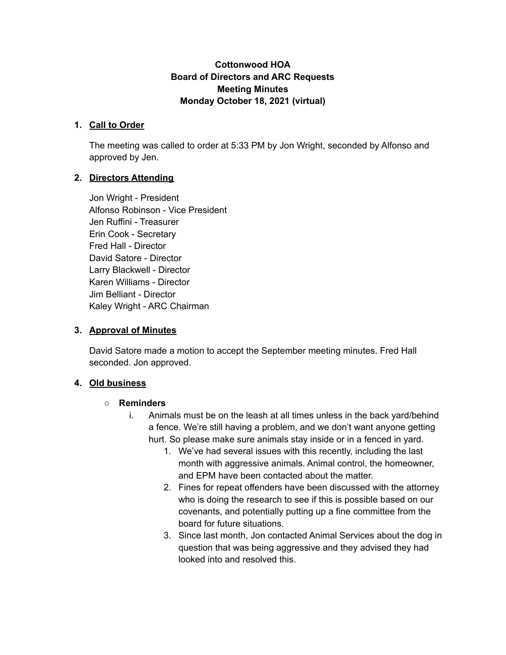### **Cottonwood HOA Board of Directors and ARC Requests Meeting Minutes Monday October 18, 2021 (virtual)**

#### **1. Call to Order**

The meeting was called to order at 5:33 PM by Jon Wright, seconded by Alfonso and approved by Jen.

### **2. Directors Attending**

Jon Wright - President Alfonso Robinson - Vice President Jen Ruffini - Treasurer Erin Cook - Secretary Fred Hall - Director David Satore - Director Larry Blackwell - Director Karen Williams - Director Jim Belliant - Director Kaley Wright - ARC Chairman

#### **3. Approval of Minutes**

David Satore made a motion to accept the September meeting minutes. Fred Hall seconded. Jon approved.

#### **4. Old business**

#### **○ Reminders**

- i. Animals must be on the leash at all times unless in the back yard/behind a fence. We're still having a problem, and we don't want anyone getting hurt. So please make sure animals stay inside or in a fenced in yard.
	- 1. We've had several issues with this recently, including the last month with aggressive animals. Animal control, the homeowner, and EPM have been contacted about the matter.
	- 2. Fines for repeat offenders have been discussed with the attorney who is doing the research to see if this is possible based on our covenants, and potentially putting up a fine committee from the board for future situations.
	- 3. Since last month, Jon contacted Animal Services about the dog in question that was being aggressive and they advised they had looked into and resolved this.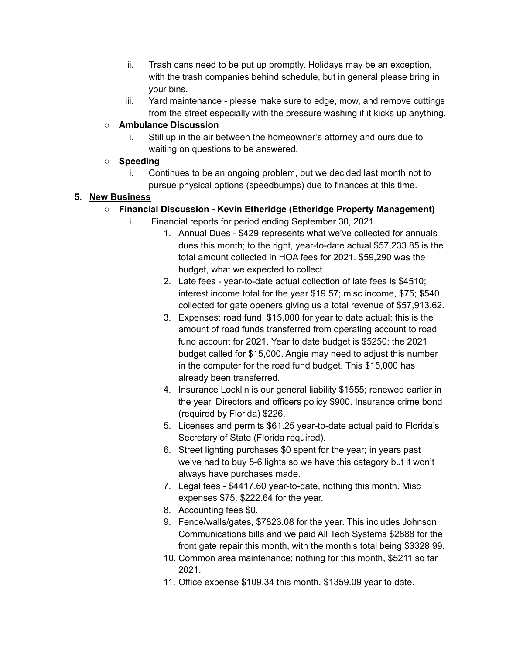- ii. Trash cans need to be put up promptly. Holidays may be an exception, with the trash companies behind schedule, but in general please bring in your bins.
- iii. Yard maintenance please make sure to edge, mow, and remove cuttings from the street especially with the pressure washing if it kicks up anything.

### **○ Ambulance Discussion**

i. Still up in the air between the homeowner's attorney and ours due to waiting on questions to be answered.

# **○ Speeding**

i. Continues to be an ongoing problem, but we decided last month not to pursue physical options (speedbumps) due to finances at this time.

## **5. New Business**

## **○ Financial Discussion - Kevin Etheridge (Etheridge Property Management)**

- i. Financial reports for period ending September 30, 2021.
	- 1. Annual Dues \$429 represents what we've collected for annuals dues this month; to the right, year-to-date actual \$57,233.85 is the total amount collected in HOA fees for 2021. \$59,290 was the budget, what we expected to collect.
	- 2. Late fees year-to-date actual collection of late fees is \$4510; interest income total for the year \$19.57; misc income, \$75; \$540 collected for gate openers giving us a total revenue of \$57,913.62.
	- 3. Expenses: road fund, \$15,000 for year to date actual; this is the amount of road funds transferred from operating account to road fund account for 2021. Year to date budget is \$5250; the 2021 budget called for \$15,000. Angie may need to adjust this number in the computer for the road fund budget. This \$15,000 has already been transferred.
	- 4. Insurance Locklin is our general liability \$1555; renewed earlier in the year. Directors and officers policy \$900. Insurance crime bond (required by Florida) \$226.
	- 5. Licenses and permits \$61.25 year-to-date actual paid to Florida's Secretary of State (Florida required).
	- 6. Street lighting purchases \$0 spent for the year; in years past we've had to buy 5-6 lights so we have this category but it won't always have purchases made.
	- 7. Legal fees \$4417.60 year-to-date, nothing this month. Misc expenses \$75, \$222.64 for the year.
	- 8. Accounting fees \$0.
	- 9. Fence/walls/gates, \$7823.08 for the year. This includes Johnson Communications bills and we paid All Tech Systems \$2888 for the front gate repair this month, with the month's total being \$3328.99.
	- 10. Common area maintenance; nothing for this month, \$5211 so far 2021.
	- 11. Office expense \$109.34 this month, \$1359.09 year to date.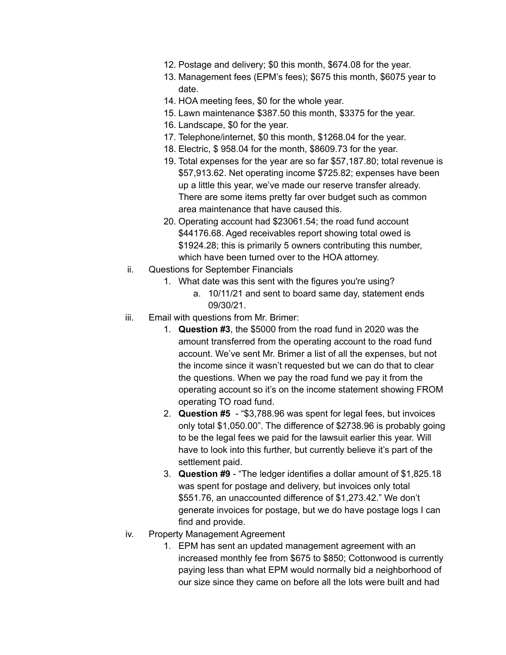- 12. Postage and delivery; \$0 this month, \$674.08 for the year.
- 13. Management fees (EPM's fees); \$675 this month, \$6075 year to date.
- 14. HOA meeting fees, \$0 for the whole year.
- 15. Lawn maintenance \$387.50 this month, \$3375 for the year.
- 16. Landscape, \$0 for the year.
- 17. Telephone/internet, \$0 this month, \$1268.04 for the year.
- 18. Electric, \$ 958.04 for the month, \$8609.73 for the year.
- 19. Total expenses for the year are so far \$57,187.80; total revenue is \$57,913.62. Net operating income \$725.82; expenses have been up a little this year, we've made our reserve transfer already. There are some items pretty far over budget such as common area maintenance that have caused this.
- 20. Operating account had \$23061.54; the road fund account \$44176.68. Aged receivables report showing total owed is \$1924.28; this is primarily 5 owners contributing this number, which have been turned over to the HOA attorney.
- ii. Questions for September Financials
	- 1. What date was this sent with the figures you're using?
		- a. 10/11/21 and sent to board same day, statement ends 09/30/21.
- iii. Email with questions from Mr. Brimer:
	- 1. **Question #3**, the \$5000 from the road fund in 2020 was the amount transferred from the operating account to the road fund account. We've sent Mr. Brimer a list of all the expenses, but not the income since it wasn't requested but we can do that to clear the questions. When we pay the road fund we pay it from the operating account so it's on the income statement showing FROM operating TO road fund.
	- 2. **Question #5** "\$3,788.96 was spent for legal fees, but invoices only total \$1,050.00". The difference of \$2738.96 is probably going to be the legal fees we paid for the lawsuit earlier this year. Will have to look into this further, but currently believe it's part of the settlement paid.
	- 3. **Question #9** "The ledger identifies a dollar amount of \$1,825.18 was spent for postage and delivery, but invoices only total \$551.76, an unaccounted difference of \$1,273.42." We don't generate invoices for postage, but we do have postage logs I can find and provide.
- iv. Property Management Agreement
	- 1. EPM has sent an updated management agreement with an increased monthly fee from \$675 to \$850; Cottonwood is currently paying less than what EPM would normally bid a neighborhood of our size since they came on before all the lots were built and had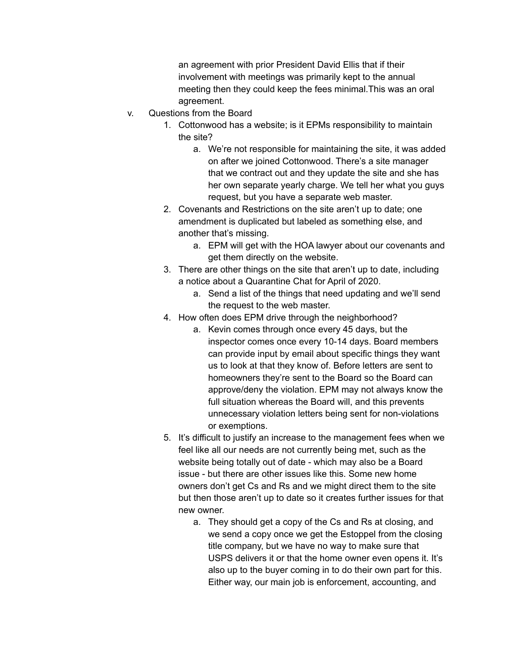an agreement with prior President David Ellis that if their involvement with meetings was primarily kept to the annual meeting then they could keep the fees minimal.This was an oral agreement.

- v. Questions from the Board
	- 1. Cottonwood has a website; is it EPMs responsibility to maintain the site?
		- a. We're not responsible for maintaining the site, it was added on after we joined Cottonwood. There's a site manager that we contract out and they update the site and she has her own separate yearly charge. We tell her what you guys request, but you have a separate web master.
	- 2. Covenants and Restrictions on the site aren't up to date; one amendment is duplicated but labeled as something else, and another that's missing.
		- a. EPM will get with the HOA lawyer about our covenants and get them directly on the website.
	- 3. There are other things on the site that aren't up to date, including a notice about a Quarantine Chat for April of 2020.
		- a. Send a list of the things that need updating and we'll send the request to the web master.
	- 4. How often does EPM drive through the neighborhood?
		- a. Kevin comes through once every 45 days, but the inspector comes once every 10-14 days. Board members can provide input by email about specific things they want us to look at that they know of. Before letters are sent to homeowners they're sent to the Board so the Board can approve/deny the violation. EPM may not always know the full situation whereas the Board will, and this prevents unnecessary violation letters being sent for non-violations or exemptions.
	- 5. It's difficult to justify an increase to the management fees when we feel like all our needs are not currently being met, such as the website being totally out of date - which may also be a Board issue - but there are other issues like this. Some new home owners don't get Cs and Rs and we might direct them to the site but then those aren't up to date so it creates further issues for that new owner.
		- a. They should get a copy of the Cs and Rs at closing, and we send a copy once we get the Estoppel from the closing title company, but we have no way to make sure that USPS delivers it or that the home owner even opens it. It's also up to the buyer coming in to do their own part for this. Either way, our main job is enforcement, accounting, and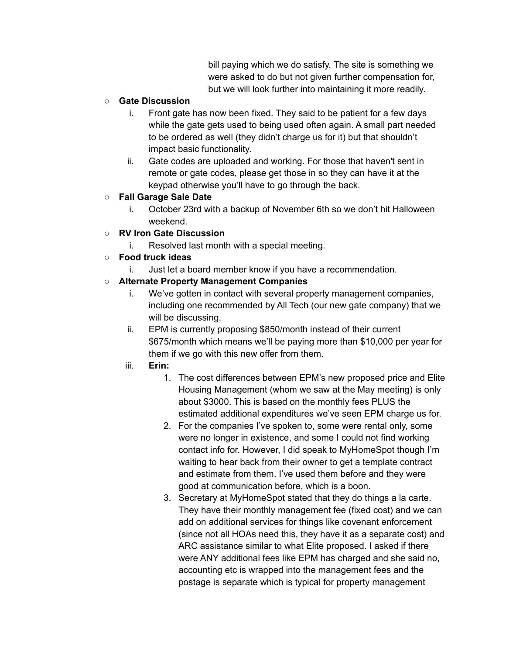bill paying which we do satisfy. The site is something we were asked to do but not given further compensation for, but we will look further into maintaining it more readily.

### **○ Gate Discussion**

- i. Front gate has now been fixed. They said to be patient for a few days while the gate gets used to being used often again. A small part needed to be ordered as well (they didn't charge us for it) but that shouldn't impact basic functionality.
- ii. Gate codes are uploaded and working. For those that haven't sent in remote or gate codes, please get those in so they can have it at the keypad otherwise you'll have to go through the back.

# **○ Fall Garage Sale Date**

i. October 23rd with a backup of November 6th so we don't hit Halloween weekend.

## **○ RV Iron Gate Discussion**

i. Resolved last month with a special meeting.

## **○ Food truck ideas**

i. Just let a board member know if you have a recommendation.

## **○ Alternate Property Management Companies**

- i. We've gotten in contact with several property management companies, including one recommended by All Tech (our new gate company) that we will be discussing.
- ii. EPM is currently proposing \$850/month instead of their current \$675/month which means we'll be paying more than \$10,000 per year for them if we go with this new offer from them.
- iii. **Erin:**
	- 1. The cost differences between EPM's new proposed price and Elite Housing Management (whom we saw at the May meeting) is only about \$3000. This is based on the monthly fees PLUS the estimated additional expenditures we've seen EPM charge us for.
	- 2. For the companies I've spoken to, some were rental only, some were no longer in existence, and some I could not find working contact info for. However, I did speak to MyHomeSpot though I'm waiting to hear back from their owner to get a template contract and estimate from them. I've used them before and they were good at communication before, which is a boon.
	- 3. Secretary at MyHomeSpot stated that they do things a la carte. They have their monthly management fee (fixed cost) and we can add on additional services for things like covenant enforcement (since not all HOAs need this, they have it as a separate cost) and ARC assistance similar to what Elite proposed. I asked if there were ANY additional fees like EPM has charged and she said no, accounting etc is wrapped into the management fees and the postage is separate which is typical for property management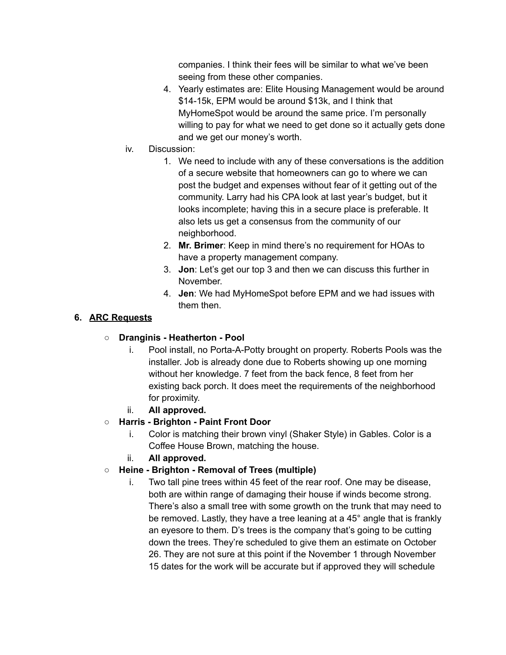companies. I think their fees will be similar to what we've been seeing from these other companies.

- 4. Yearly estimates are: Elite Housing Management would be around \$14-15k, EPM would be around \$13k, and I think that MyHomeSpot would be around the same price. I'm personally willing to pay for what we need to get done so it actually gets done and we get our money's worth.
- iv. Discussion:
	- 1. We need to include with any of these conversations is the addition of a secure website that homeowners can go to where we can post the budget and expenses without fear of it getting out of the community. Larry had his CPA look at last year's budget, but it looks incomplete; having this in a secure place is preferable. It also lets us get a consensus from the community of our neighborhood.
	- 2. **Mr. Brimer**: Keep in mind there's no requirement for HOAs to have a property management company.
	- 3. **Jon**: Let's get our top 3 and then we can discuss this further in November.
	- 4. **Jen**: We had MyHomeSpot before EPM and we had issues with them then.

## **6. ARC Requests**

# **○ Dranginis - Heatherton - Pool**

- i. Pool install, no Porta-A-Potty brought on property. Roberts Pools was the installer. Job is already done due to Roberts showing up one morning without her knowledge. 7 feet from the back fence, 8 feet from her existing back porch. It does meet the requirements of the neighborhood for proximity.
- ii. **All approved.**

# **○ Harris - Brighton - Paint Front Door**

- i. Color is matching their brown vinyl (Shaker Style) in Gables. Color is a Coffee House Brown, matching the house.
- ii. **All approved.**
- **○ Heine - Brighton - Removal of Trees (multiple)**
	- i. Two tall pine trees within 45 feet of the rear roof. One may be disease, both are within range of damaging their house if winds become strong. There's also a small tree with some growth on the trunk that may need to be removed. Lastly, they have a tree leaning at a 45° angle that is frankly an eyesore to them. D's trees is the company that's going to be cutting down the trees. They're scheduled to give them an estimate on October 26. They are not sure at this point if the November 1 through November 15 dates for the work will be accurate but if approved they will schedule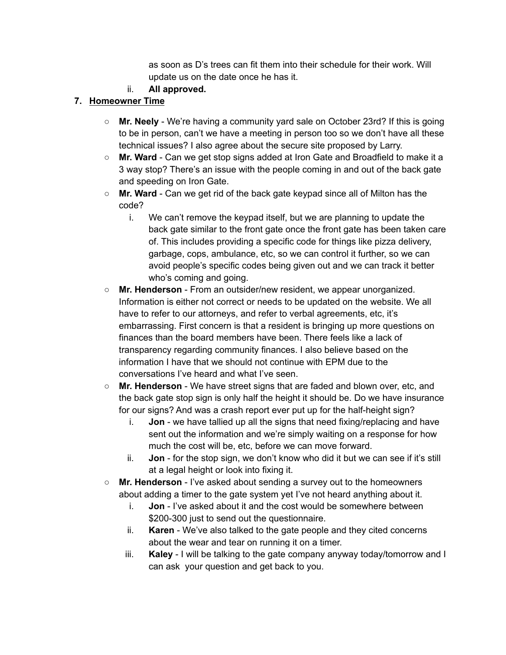as soon as D's trees can fit them into their schedule for their work. Will update us on the date once he has it.

ii. **All approved.**

# **7. Homeowner Time**

- **○ Mr. Neely** We're having a community yard sale on October 23rd? If this is going to be in person, can't we have a meeting in person too so we don't have all these technical issues? I also agree about the secure site proposed by Larry.
- **Mr. Ward** Can we get stop signs added at Iron Gate and Broadfield to make it a 3 way stop? There's an issue with the people coming in and out of the back gate and speeding on Iron Gate.
- **Mr. Ward** Can we get rid of the back gate keypad since all of Milton has the code?
	- i. We can't remove the keypad itself, but we are planning to update the back gate similar to the front gate once the front gate has been taken care of. This includes providing a specific code for things like pizza delivery, garbage, cops, ambulance, etc, so we can control it further, so we can avoid people's specific codes being given out and we can track it better who's coming and going.
- **Mr. Henderson** From an outsider/new resident, we appear unorganized. Information is either not correct or needs to be updated on the website. We all have to refer to our attorneys, and refer to verbal agreements, etc, it's embarrassing. First concern is that a resident is bringing up more questions on finances than the board members have been. There feels like a lack of transparency regarding community finances. I also believe based on the information I have that we should not continue with EPM due to the conversations I've heard and what I've seen.
- **Mr. Henderson** We have street signs that are faded and blown over, etc, and the back gate stop sign is only half the height it should be. Do we have insurance for our signs? And was a crash report ever put up for the half-height sign?
	- i. **Jon** we have tallied up all the signs that need fixing/replacing and have sent out the information and we're simply waiting on a response for how much the cost will be, etc, before we can move forward.
	- ii. **Jon** for the stop sign, we don't know who did it but we can see if it's still at a legal height or look into fixing it.
- **Mr. Henderson** I've asked about sending a survey out to the homeowners about adding a timer to the gate system yet I've not heard anything about it.
	- i. **Jon** I've asked about it and the cost would be somewhere between \$200-300 just to send out the questionnaire.
	- ii. **Karen** We've also talked to the gate people and they cited concerns about the wear and tear on running it on a timer.
	- iii. **Kaley** I will be talking to the gate company anyway today/tomorrow and I can ask your question and get back to you.